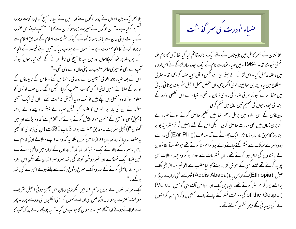بلا آخر ایک دن انہوں نے چند لو گوں سے کہا "میں نے سید نا مسح کو اپنا نحات دہندہ گسکیم کرلیاہے۔" ان لوگوں نے حیرت زدہ ہو کران سے کہا کہ " آپ اپنے اس عقیدہ کے ماعث اپنی جان سے باتھ دھو بیٹھوگے کیونکہ سٹریعت اسلام کے مطابق اسلام سے ار تداد کرنے کا انحام موت ہے ۔ "انہوں نے حواب دیا کہ "میں اپنے فیصلہ کے انحام کے ہر پہلو پر عوٰر کر پیٗاہوں اور میں سید نامسح کی خاطر مرنے کے لئے تیار ہوں کیونکہ آپ نے بھی تومیری خاطر صلیب پراپنی جان دے دی تھی۔" اس کے بعد صباء چند افغانی مسیحیوں کے روحانی رہنما بن گئے ۔کابل کے نابیناؤں کے ادارہ کے طلبا نے انہیں اپنی انجمن کا صدر منشخب کرلیا۔ لیکن اگلے سال جب لوگوں کو معلوم ہوا کہ وہ مسیحی بن چکے ہیں تو تب وہ یہ الیکش نہ جیت سکے ۔ ان کی ایک مسیحی معلمہ نے ان کی بار پر افسوس کا اظہار کیا۔لیکن ضباء نے بہتسمہ دینے والے یوحنا (یحییٰ) نبی کا مسح کے متعلق حوالہ پیش کرتے ہوئے کہا "لازم ہے کہ وہ بڑھے اور میں تحَصُّول "(انجيل سثريف بهِ مطابق حصرْت يوحنا 3 ماب 30آيت )ان كي زند كَي كالَهجي یہ مقصد بنہ رہا کہ وہ نمایاں اعزاز حاصل کریں بلکہ یہ کہ وہ سدا اپنے مولا کے اد ٹی خادم ہنے رہیں۔ صباء کے والد نے ایک مر تبہ کھا تھا کہ "نابیناؤں کے ادارہ میں داخل ہونے سے قبل صباء ایک ٹھنڈے اور عنیر روشن کوئلہ کی مانند سرد مہر انسان تھے لیکن اس ادارہ میں داخلہ حاصل کرنے کے بعد وہ ایک سمرخ وشوخ رنگ سے جلتے ہوئے الگارے کی ما نند ہوگئے۔" ایک مرتبہ انہوں نے بریل رسم الخط میں انگریزی زبان میں چھپی ہوئی انجیل سٹریف معرفت حصرت یوحناعار پتہ ًحاصل کی اور اسے کھول کراپنی الگلیوں کی مدد سے پڑھا۔ پھر اسے لوٹاتے ہونے کہا "مجھے میرے سوال کا حواب مل گیا-" یہ پوچھے جانے پر کہ آپ کا



افغانستان کے شہر کابل میں نابیناؤں کے لئے ایک ادارہ قائم کیا گیا تھا جس کا نام نور انسٹی ٹیوٹ تھا۔ 1964ءمیں ضیاء نودرت نام کے ایک حپودہ سالہ لڑکے نے اس ادارہ میں داخلہ حاصل کیا۔ اس لڑکے نے پہلے ہی سے مکمل قرآن مجید حفظ کر رکھا تھا۔ مغر بی اصطلاح میں یہ ویسے ہی ہوا جیسے کوئی انگریزی داں شخص مکمل انجیل سثر یف یونا فی زبا فی میں حفظ کرلے کیونکہ عربی ضیاء کی مادری زبان نہ تھی۔ ضیاء نے اس تعلیمی ادارہ کے ابتدائی حپھ درحوں کی تعلیم تین سال میں ختم کرلی۔ نا بیناؤں کے اس ادارہ میں بریل رسم الخط میں تعلیم حاصل کرتے ہوئے صباء نے انگریزی زبان میں بھی مہارت حاصل کرلی ۔ لیکن اس کے لئے انہیں ٹرانزسٹر ریڈ یو پر اپناروز کاسبن بار بار سننا پڑا۔ایک چھوٹے سے آلہ سماعت (Ear Plug) کی مدد سے وہ دوسمرے ممالک سے نسٹر کئے جانےوالے پروگرام سنا کرتے تھے حو خصوصاً افغانستان کے باشندوں کی خاطر ہوا کرتے تھے۔ ان نسٹریات سے متاثر ہو کر وہ چند سوالات بھی پوجیا کرتے تھے جیسے کسی کے عوص کفارہ دیئے کا کیامطلب ہے ؟وعنیرہ - افریقی ملک حبش (Ethiopia)کے ادیس یا (Addis Ababa)شہرسے کئی ادارے ریڈیو پر ایسے پروگرام نسٹر کرتے تھے۔ ایسا ہی ایک ادارہ وائس آف دی گوسپل Voice) of the Gospel) کی معرفت نسٹر کئے جانے والے مسیحی پروگرام سن کر انہوں نے کئی دینیا تی نکے ذہن نشین کرلئے تھے۔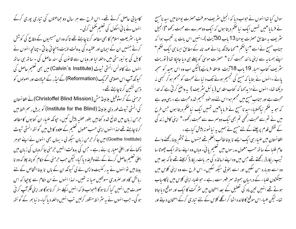کامیابی حاصل کرتے تھے۔ اس طرح سے ہر سال دو جماعتوں کی تباری پوری کرکے ا انہوں نے یا ئی اسکول کی تعلیم پخمل کرلی۔ ضیاء سٹریعت اسلام کا بھی مطالعہ کرناچاہتے تھے تاکہ وہ ان مسیحیوں کے دفاع کی کوشش کرتے جنہیں ان کے ایمان اور عقیدہ کی بدولت اذیت پہنچا ئی جا تی -چنانچہ انہوں نے کابل کی یو نیورسٹی میں داخلہ لیا اور وبا ں سے قانون کی سند حاصل کی - ساتھ ہی ساتھ انہوں نے کالونس انسٹی ٹیوٹ (Calvin's Institute) میں بھی تعلیم حاصل کی کیونکہ آپ اس اصلاحی تحریک (Reformation) کے لیڈر کے خیالات اور اصولوں کو ذہن نشین کرناچاہتے تھے۔ حِرمنی کے کرسٹوفیل بلائپنڈمش (Christoffel Blind Mission) نے افغانستان کی انسٹی ٹیوٹ فور دی بلائینڈ (Institute for the Blind) کو بریل رسم الخط میں حرمن زیان میں شائع شدہ کتابیں بطور عطسہ پیش کیں۔ حیونکہ صباء ان کتابوں کا مطالعہ کرنا چاہتے تھے لہذا انہوں اپنی حسب معمول تعلیم کے علاوہ کابل میں گو ئتھ انسٹی ٹیوٹ (Goethe Institute) میں جا کر حرمن زبان سیکھہ لی - بہاں بھی انہوں نے اپنے حوہر دکھانے اور اعلیٰ معیار پر بنے رہے ۔ جس کی بدولت انہیں حرمنی جا کر وہاں کی زبان میں اعلیٰ تعلیم حاصل کرنے کے لئے وظیفہ دیا گیا۔لیکن جب حرمنی کے حکام کو پتہ چلا کہ وہ نا بینا ہیں توانہوں نے بہ رکنیت واپس لے لی کیونکہ ان کے پاں نا بینا اشخاص کے لئے ربائش گاہ اور صروری سہولتیں مہیا نہ تھیں۔ لہذا انہوں نے ان حکام سے پوچیا کہ اس صورت میں انہیں کیا کرنا ہو گا ؟حواب ملا کہ انہیں اکیلے سفر کرنا ہو گا اور اپنی فکر آپ کر فی ہو گی۔ جب انہوں نے پہ سثر ائط منظور کرلیں تب انہیں داخلہ دیا گیا۔ د نیا بھر کے گو ئتھ

سوال کیا تھا انہوں نے حواب دیا کہ انجیل سثر پف معرفت حصرت پوحنامیں سید نامسح نے فرمایا "میں تہیں ایک نیا حکم دیتا ہوں کہ ایک دوسمرے سے محبت رکھو "(انجیل ینٹریف یہ مطابق حصرت یوحنا 13 ماپ 30 بیت )۔انہیں اس بات پر تعجب ہوا کہ جناب مسح نے اسے " نیا ضخم " کہا حالانکہ پرانے عہد نامہ کے مطابق ایسا ہی ایک ضخم " اپنے ہمسایہ سے اپنی مانند محبت کرنا " حصرت موسیٰ کو پہلے ہی دیا جاجکا تھا ( توریت ینٹریف کتاب احیار 19 باب 18آیت ملاحظہ فرمائیے)لیکن اب وہ اس بھید کو سمجھ یائے -انہوں نے بتایا کہ مسیح کی نجسیم ہونے تک د نبانے محبت کو مجسم ہو کر کبھی نہ دیکھا تھا۔انہوں نے مزید کہا کہ کتاب مقد س(یائبل سٹریف) پیواضح کرتی ہے کہ خدا محبت ہے اور جناب مسح میں مجسم ہوا اس لئے وہ خود تجسیم شدہ محبت ہے - یہی وجہ ہے کہ جو یہ حکم نیاکھلایا۔سیدنا مسیح نے فرمایا"میں تہیں ایک نیا حکم دیتا ہوں جس طرح میں نے تم سے محبت رکھی تم بھی ایک دوسرے سے محبت رکھو۔" اپنی کامل زند کی کے نقش قدم پرچلنے کے لئے مسح نے ہمیں یہ نیانمو نہ پیش کیا ہے ۔ افغانستان میں صباء ہی ایک ایسے نا بینا طالب العلم تھے جنہوں نے چشم بینا رکھنے والے عام طلبا کے ساتھ حسب معمول مدرسوں میں تعلیم یائی۔ وہاں وہ اپنے ساتھ ایک چھوٹا سا <sup>ط</sup>یب ریکارڈر رکھتے تھے جس میں وہ اپنے اساتذہ کی ہر یات ریکارڈ کرلیتے تھے تا کہ بعد میں وہ اسے دوبارہ سن سکیں اور اسے بخو بی سیکھ سکیں۔ اس طرح سے وہ اپنی کلاس میں سینکڑوں طلباء کے درمیان ہمیشہ سمر فہرست رہے ۔ حوطلباء اپنی کلاس میں ناکامیاب ہوتے تھے انہیں تین ماہ کی تعطیل کے بعد امتحان میں سٹر کت کا ایک اور موقع دیاجاتا تھا۔ لیکن ضباء اس موقع کا فائدہ اٹھا کر اگلے کلاس کے لئے تباری کرکے امتحان دیتے اور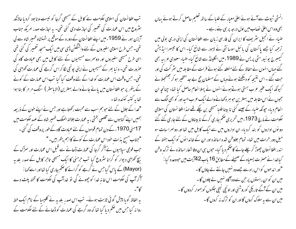تب افغانستان کی اسلامی حکومت نے کا بل کے مسیحی گرجا کو نیست و نا بود کردیا حالانکہ ینٹروع میں اس عمارت کی تعمیر کی اجازت دی گئی تھی۔ بہ اجازت صدر امریکہ جناب آیزن ہور نے 1959ء میں اپنے افغانستان کے دورہ کے موقع پر شہنشاہ ظہیر شاہ سے لی تھی۔ جس طرح اسلامی سفیروں کے لئے واشنگٹن ڈی سی میں ایک مسحد تعمیر کی گئی تھی اسی طرح مسیحی سفیروں اور دوسرے مسیحیوں کے لئے کابل میں بھی عبادت گاہ کی صرورت تھی۔ د نیا بھر کے مسیحیوں نے اپنی پونچی لگا کر اس گرجے کی عمارت کھڑی کی تھی۔ جس وقت اس عمارت کو خدا کے لئے وقف کیا گیا تب اس عمارت کے کونے کے پتھر پر حوافغانستان میں پائے جانے والے بہترین (الاباسٹر ) سنگ مر مر کا بنا ہوا تجابه كتسر كننده تجا-

"خدا کے جلال کے لئے حبو ہم سب سے محبت رکھتا ہے اور حس نے اپنے حنون کے ذریعہ ہمیں اپنے گناہوں سے مخلصی بخثی ، بہ عمارت جلالتہ الملک ظہیر شاہ کے عہد حکومت میں 17مئی 1970ء کے دن تمام قوموں کے لئے عبادت گاہ کے طور پروقف کی گئی۔ "حبناب مسح بذات خود اس عمارت کے کونے کا اہم پتھر ہیں۔" جب فوجی سیاہیوں نے آگر گرجا کی عمارت ڈھانے سے قبل اس عمارت اور سمڑک کے بیچ کھڑی دیوار کو گرانا سٹروع کیا تب حرمنی کا ایک مسیحی تاحر کابل کے صدر بلد یہ (Mayor) کے پاس گیا جس نے گرجے کو گرانے کا حکم جاری کیا تھااور اسے کہا : آگر آپ کی حکومت اس خانہ خدا کو چھوٹے کی لو خداآپ کی حکومت کا تختہ پلٹ دے

یہ الفاظ گویا پیش گوئی ثابت ہوئے۔ تب اس صدر بلدیہ نے کلیسا کے نام ایک خط روانہ کیا جس میں حکم دیا گیا تھا کہ وہ گرجے کی عمارت کو ڈھانے کے لئے حکومت کے

انسٹی ٹیوٹ سے آئے ہوئے اعلیٰ معبار کے طلبا کے ساتھ تعلیم حاصل کرتے ہوئے پہاں بھی وہ اس اعلیٰ نصاب میں اول درجہ پر ہی ہنے رہے۔ صباء نے انجیل سٹریف کا ایران کی فارسی زبان سے افغانستان کی اپنی دری بولی میں ترحمہ کیا جسے پاکستان کی پائبل سوسائٹی نے لاہور سے شائع کیا۔ اس کا تیبسرا ایڈیشن گیمبرج یو نیورسٹی پریس نے 1989ء میں انگلینڈ سے شائع کیا۔ ضباء سعودی عربیہ بھی گئے حہاں انہوں نے حفاظ کے لئے منعقد کئے ہوئے قرات کے مقابلہ میں سٹر کت کی اور جت گئے ۔اس نتیجہ کو دیکھتے ہوئے وہاں کے مسلمان حج بے جد متخیر ہو کر جھنھجلا ئے کیونکہ ایک عنیر عرب ہستی ہوتے ہوئے انہوں نے پہلا انعام حاصل کیا تھا۔ چنانچہ ان ججوں نے اس مقابلہ میں بہترین حبو ہر دکھانے والے ایک عرب امیداور کو بھی الگ سے انعام دیا۔ حیونکہ ضباء کے جیسے کئی نا بیناطلیامسیحی بن چکے تھے لہذا افغا نستان کی اسلامی حکومت نے مارچ 1973ء میں تحریری ضخم جاری کرکے نا بیناؤں کے لئے جاری کئے گئے دو نوں اداروں کو بند کردیا۔ ان اداروں میں سے ایک کابل میں تھا اور دوسمرا سات سو میل دور حرات میں تھا۔ تمام جلاوطن شدہ اساتذہ اور ان کے خاندا نوں کو ایک ہفتہ کے اندر افغانستان چھوڑ کر چلے جانے کا صحم دیا گیا۔ حبوں ہی ان وفا شعار اسا تذہ نے ترک وطن کیا غدانے حصرت یسعیاہ کے صحیف کے مطابق 16 ماب42آیت میں حووعدہ کیا : "اور اندھوں کواس راہ سے جسے وہ نہیں جانتے لے جاؤں گا۔ میں ان کو ان راستوں پر حن سےوہ آگاہ نہیں لے چلوں گا۔ میں ان کے آگے تاریکی کوروشنی اور اونچی سیچی جگہوں کو ہموار کردوں گا -میں ان سے یہ سلوک کروں گا اور ان کو ترک نہ کروں گا۔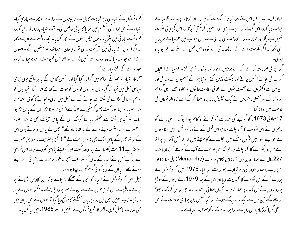کھمیونسٹوں نے ضباء کی زیر قبادت کابل کے نا بیناؤں کے ادارے کو پھر سے جاری کیا-صباء نے اس ادارہ کی شظیم میں نمایا کامبا بی حاصل کی۔ تب صباء پر زور ڈالا گیا کہ وہ کھمیونسٹ پار ٹی میں سٹر یک ہوں لیکن انہوں نے الکار کردیا۔ ایک افسر نے ان سے کہا کہ اگر انہوں نے پار ٹی میں سثر کت نہ کی نو اپنی جان سے ہاتھ دھو بیٹھیں گے ۔ انہوں نے اسے حواب دیا کہ وہ موت سے نہیں ڈرتے اور الٹا اس کمیونسٹ سے پوجیا کہ کیاوہ خود مرنے کے لئے تبارہے ؟ سمخر کار صباء کو جھوٹے الزام میں گرفتار کیا گیا اور انہیں کابل کے باہر واقع بولی حجرخی سیاسی جیل میں قبید کیا گیاجہاں ہزاروں لوگوں کوموت کے گھاٹ اتارا گیا۔ قبید یوں کو موسم سر ما کی کڑاکے کی ٹھنڈ سے بچانے کے لئے جیل میں گرمی پہنچانے کا کو ٹی انتظام نہ تھا۔ضباء کو اپنا اوور کوٹ پہن کرمٹی کے ٹھنڈے فرش پر سو نا پڑا۔ ان کے پاس پڑا ہوا ایک اور قبیدی ٹھنڈ سے ٹھٹھر رہا تھا کیونکہ اس کے پاس جیکٹ بھی نہ تھا۔ ضباء کوحصرت یوحنا بپتسمہ دینےوالے کے بہ الفاظ باد تھے " حس کے پاس دو کرتے ہوں اس کے ساتھ جس کے پاس ایک بھی نہ ہو ، پانٹ لے " (انجیل سٹریف ہہ مطابق حصرت لوقا 3 پاپ 1 1 آیت )صلء نے اپناواحد کوٹ اتار کراپنے پڑوسی کو دے دیا۔اس گھڑی سے جناب مسح نے ضباء کے بدن کو ہر رات معجزانہ طور پر حرارت پہنچا ئی ۔ وہ ایسے سوتے تھے گویاان کے اوپر کو ئی گرم گلو بند لپٹا ہوا ہو۔ جبل میں تحمیو نسٹوں نے صباء کو بجلی کے حصگے پہنچائے تاکہ ان کاذہن رکھکانے پر آجائے۔ بجلی سے اس طرح جل جانے سے ان کے سمر پر داع پڑگئے ۔ لیکن انہوں نے بار نہ مانی ۔ حب انہیں جیل میں روسی زبان سیکھنے کاموقع دیا گیا توانہوں نے اس زبان میں بھی مہارت حاصل کرلی ۔آخر کارٹھمیو نسٹوں نے انہیں دسمبر 1985ء میں رہا کردیا۔

حوالہ کردے۔ بہ خط اس لئے لکھا گیا تا کہ حکومت کو مبرجانہ ادا کرنا نہ پڑے۔ کلیسا نے حبواب دیا کہ وہ اس گرجے کو کسی کے بھی حوالہ نہیں کرسکتی کیونکہ وہ اس کی اپنی ملکیت نہیں ہے بلکہ وہ عمارت خدا کو وقف کی جاچکی ہے۔ اس حواب میں کلیسیا نے مزید یہ بھی لکھا کہ اگر حکومت اسے لے کر ڈھادیتی ہے تو وہ اس فعل کے لئے غدا کو حوابدہ گرجے کی عمارت گرانے کے لئے پولیس ،مزدور اور بلڈوزر بھیجے گئے۔ کلیسا نے احتجاج کرنے کی بجائے انہیں جائے اور بسکٹ پیش کئے۔ د نیا بھر کے مسیحیوں نے دعا کی اور ان میں سے اکثروں نے مختلف ملکوں کے افغا فی سفارت خا نوں کو خطوط لکھے ۔ بلی گراہم اور د نیا کے اور مسیحی رہنماؤں نے ایک تشویش نامہ پر دستحط کرکے اسے شاہ افغانستان کی خدمت میں روانہ کیا۔ 17حولائی 1973ء کو گرجے کی عمارت کو گرانے کا کام پورا ہوگیا۔ اسی رات کو باغنیوں نے اس حکومت کا تختہ پلٹ دیا حبو اس فعل کے لئے ذمہ دار تھی۔ اہل افغا نستان نے حو ایسے امور میں شُکُون دیکھنے میں عمجلت سے کام لیتے ہیں کہا کہ مسح آسمان پر اتر آئے بیں اور حکومت کا تختہ پلٹ دیا کیونکہ اس حکومت نے آپ کے گرجے کو ڈھادیا تھا۔ 227سال سے افغانستان میں شہنشاہی نظام حکومت (Monarchy) چل رہا تھا اور اس رات وہ صدر داوؤد کی زیر قبادت جمہوریت بن گیا۔ 1978ء میں تھمیونسٹوں نے بغاوت کرکے اس حکومت کا تختہ پلٹ دیا اور اس کے بعد 1979ء کے ناتال کے موقع پر روسیوں نے اس ملک پر حملہ کردیا۔لاکھوں افغانی باشندے مہاجرین بن کر ملک چھوڑ کر چلے گئے جن میں سے ایک کو بہ کھتے ہوئے سنا گیا "جس دن ہماری حکومت نے اس مسیحی گرجا کوڈھادیااس دن سے خدا ہمارے ملک کو سمزادے رہاہے ۔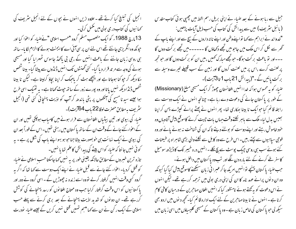انجیل کی تبلیغ کیا کرتے تھے ۔ علاوہ ازیں انہوں نے بچوں کے لئے انجیل سٹریف کی ے کہانیوں کی کتاب در ی بولی میں مکمل کرلی۔ 13مارچ 1988ء کو ایک متعصب مسلم گروہ "حسب اسلامی "نےضباء کو اعوا کیا اور حیونکہ وہ انگریزی جانتے تھے اس لئے ان پر سی آئی اے کا ایجنٹ ہونے کا الزام لگا یا۔ ساتھ ہی روسی زبان جاننے کے باعث انہیں کے ،جی بی باکھڈ جاسوس ٹھہرایا گیا اور مسیحی ہونے کی وجہ سے مر تد قرار دیا گیا۔ کئی گھنٹوں تک انہیں ڈنڈوں سے پیٹا گیا۔ بیناشخص مکا دیکھ کر حپو کنا ہوجاتا ہے اور پیچھے ہٹ کر پاجیک کر اپنا بچاؤ کرلیتا ہے۔ لیکن نا بینا شخص ڈنڈا دیکھ نہیں باتا اور وہ پورے زور کے ساتھ جوٹ کھاتا ہے۔ یہ ٹھیک اسی طرح ہوا جیسے سید نا مسح کی آنکھوں پر پٹی باندھ کر آپ کو اذیت پہنچائی گئی تھی (انجیل ینٹریف بہ مطابق حصرت لوقا 22 پاپ 64 تیت )۔ صباء کی بیوی اور تین بیٹیاں افغانستان سے فرار ہونے میں کامیاب ہو چکی تھیں اور ان کے اعوٰاءکئے جانے کے وقت ان کے ساتھ پا کستان میں رہتی تھیں۔ اس کے فوراً بعد ان گی بیوی نے ایک نہائت ہی خوبصورت بیٹا جناحو ہو بہو اپنے باپ کی شکل پر ہے ۔ یہ کوئی نہیں جا نتا کہ ضباء کواس بیٹے کی پیدائش کاعلم تھا یا نہیں۔ تازہ ترین خسروں کے مطابق حالانکہ یقینی طور پر یہ نہیں کہاجاسکتا حسب اسلامی نے ضباء کو قتل کردیا۔اعوٰاء کئے جانے سے قبل صباء نے اپنے ایک دوست سے کہا تھا کہ اگر یہ گروہ کسی وقت انہیں گرفتار کرلے تووہ اسے زندہ نہ چھوڑیں گے ۔اسی گروہ نے دور اور پاکستا نیوں کو اس وقت گرفتار کرلیا حب وہ محتاج افغانوں کو رسد پہنچانے کی کوشش کررہے تھے۔ ان دو نوں کو شدید اذیت پہنچانے کے بعد بری کرنے سے پہلے حب اسلامی کے ایک ر کن نے ان سے کہا "ہم تمہیں قتل نہیں کریں گے جیسے ضراء نودرت

جیل سے رہا ہونے کے بعد صباء نے اپنی بریل رسم الخط میں چھپی ہو ٹی کتاب مقدس ( یا ئبل سثریف ) میں سے پیدائش کی کتاب کی حسب ذیل آبات پڑھیں : "خدواند نے ابراہم سے کہا تواپنے وطن اور اپنے نا تہ داروں کے بیچ سے اور اپنے پاپ کے گھر سے لگل کر اس ملک میں جاحو میں تجھے دکھاؤں گا ------ میں تجھے بر کت دوں گا ۔۔۔اور تو باعث بر کت ہو گا۔ حبو تجھے مبارک ٹھمیں ،میں ان کو بر کت دوں گا اور حبو تحھہ پر لعنت کرے ،اس پر میں لعنت کروں گا اور زمین کے سب قبیلے تیرے وسیلہ سے بر کت پائیں گے۔"(پیدائش 21 ماب 1 تا 3 آیت)۔ صباء کو یہ محسوس ہوا کہ خدا انہیں افغانستان جھوڑ کر ایک مسیحی مبلغ (Missionary) کے طور پر پاکستان جانے کی دعوت دے رہا ہے۔ چنانچہ انہوں نے ایک دوست سے رابطہ قائم کیا حوایک نا بینا بھکاری تھا۔ پھر انہوں نے پھٹے پرانے کیپڑے پہن کر اپنا بھیس بدل لیا۔ملک سے باہر یُکلنےوقت جہاں بات چیت کرنے کاموقع پیش آتاوہاں وہ خود خاموش رہتے اور اپنے دوست کو بولنے دیتے تاکہ ان کی شناخت نہ ہونے پائے اور وہ فوجی سباہمیوں سے پچتے رہیں۔اس طرح سے وہ کابل سے لُکلنے والی بڑی شاہراہ پر طبیعنات کئے ہوئے سب ہی روسی چپک پوسٹ سے پچ لکلے ۔انہیں درہ خیبر تک کا ڈیڑھ سومیل کاسفر طے کرنے کے لئے بارہ دن لگے اور تب وہ پاکستان میں داخل ہوئے۔ حب صباء پاکستان پہنچے توانهیں امریکہ جا کرعبرا نی زبان سیکھنے کاموقع پیش کیا گیا کیونکہ وہ ان دیوں پرانے عہد نامہ کا ان کی اپنی دری بولی میں ترحمہ کررہے تھے۔ لیکن انہوں نے اس دعوت کو یہ کچتے ہوئے نامنظور کیا کہ انہیں افغان مہاجرین کے درمیان کافی کام

کرنا ہے ۔ انہوں نے نا بینامہاجرین کے لئے ایک ادارہ قائم کیا۔ کحچھ دیوں میں اردو بھی

سیکھ لی حو یا کستان کی خاص زبان ہے - وہ یا کستان کے مسیحی کلیسیاؤں میں اسی زبان میں